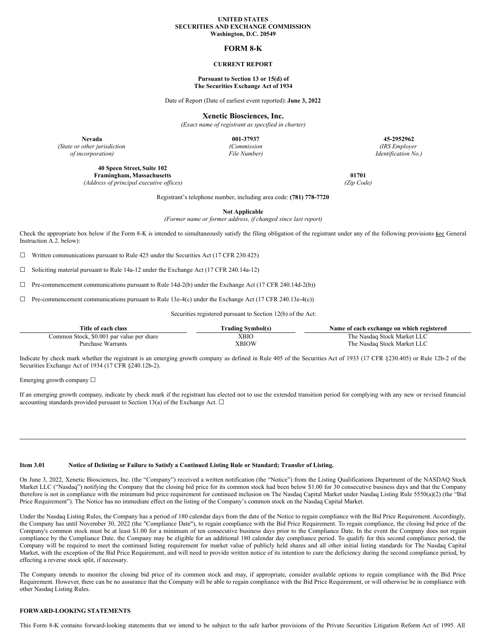#### **UNITED STATES SECURITIES AND EXCHANGE COMMISSION Washington, D.C. 20549**

# **FORM 8-K**

#### **CURRENT REPORT**

#### **Pursuant to Section 13 or 15(d) of The Securities Exchange Act of 1934**

Date of Report (Date of earliest event reported): **June 3, 2022**

**Xenetic Biosciences, Inc.**

*(Exact name of registrant as specified in charter)*

**Nevada 001-37937 45-2952962**

*(State or other jurisdiction of incorporation)*

*(Commission*

*File Number)*

**40 Speen Street, Suite 102 Framingham, Massachusetts 01701**

*(Address of principal executive of ices) (Zip Code)*

*(IRS Employer Identification No.)*

Registrant's telephone number, including area code: **(781) 778-7720**

**Not Applicable**

*(Former name or former address, if changed since last report)*

Check the appropriate box below if the Form 8-K is intended to simultaneously satisfy the filing obligation of the registrant under any of the following provisions (see General Instruction A.2. below):

 $\Box$  Written communications pursuant to Rule 425 under the Securities Act (17 CFR 230.425)

☐ Soliciting material pursuant to Rule 14a-12 under the Exchange Act (17 CFR 240.14a-12)

 $\Box$  Pre-commencement communications pursuant to Rule 14d-2(b) under the Exchange Act (17 CFR 240.14d-2(b))

 $\Box$  Pre-commencement communications pursuant to Rule 13e-4(c) under the Exchange Act (17 CFR 240.13e-4(c))

Securities registered pursuant to Section 12(b) of the Act:

| Title of each class                       | [ˈrading Svmbol(s) | Name of each exchange on which registered |
|-------------------------------------------|--------------------|-------------------------------------------|
| Common Stock, \$0.001 par value per share | XBIC               | The Nasdaq Stock Market LLC               |
| Purchase Warrants                         | XBIOW              | The Nasdaq Stock Market LLC               |

Indicate by check mark whether the registrant is an emerging growth company as defined in Rule 405 of the Securities Act of 1933 (17 CFR §230.405) or Rule 12b-2 of the Securities Exchange Act of 1934 (17 CFR §240.12b-2).

Emerging growth company  $\Box$ 

If an emerging growth company, indicate by check mark if the registrant has elected not to use the extended transition period for complying with any new or revised financial accounting standards provided pursuant to Section 13(a) of the Exchange Act.  $\square$ 

## Item 3.01 Notice of Delisting or Failure to Satisfy a Continued Listing Rule or Standard; Transfer of Listing.

On June 3, 2022, Xenetic Biosciences, Inc. (the "Company") received a written notification (the "Notice") from the Listing Qualifications Department of the NASDAQ Stock Market LLC ("Nasdaq") notifying the Company that the closing bid price for its common stock had been below \$1.00 for 30 consecutive business days and that the Company therefore is not in compliance with the minimum bid price requirement for continued inclusion on The Nasdaq Capital Market under Nasdaq Listing Rule 5550(a)(2) (the "Bid Price Requirement"). The Notice has no immediate effect on the listing of the Company's common stock on the Nasdaq Capital Market.

Under the Nasdaq Listing Rules, the Company has a period of 180 calendar days from the date of the Notice to regain compliance with the Bid Price Requirement. Accordingly, the Company has until November 30, 2022 (the "Compliance Date"), to regain compliance with the Bid Price Requirement. To regain compliance, the closing bid price of the Company's common stock must be at least \$1.00 for a minimum of ten consecutive business days prior to the Compliance Date. In the event the Company does not regain compliance by the Compliance Date, the Company may be eligible for an additional 180 calendar day compliance period. To qualify for this second compliance period, the Company will be required to meet the continued listing requirement for market value of publicly held shares and all other initial listing standards for The Nasdaq Capital Market, with the exception of the Bid Price Requirement, and will need to provide written notice of its intention to cure the deficiency during the second compliance period, by effecting a reverse stock split, if necessary.

The Company intends to monitor the closing bid price of its common stock and may, if appropriate, consider available options to regain compliance with the Bid Price Requirement. However, there can be no assurance that the Company will be able to regain compliance with the Bid Price Requirement, or will otherwise be in compliance with other Nasdaq Listing Rules.

# **FORWARD-LOOKING STATEMENTS**

This Form 8-K contains forward-looking statements that we intend to be subject to the safe harbor provisions of the Private Securities Litigation Reform Act of 1995. All